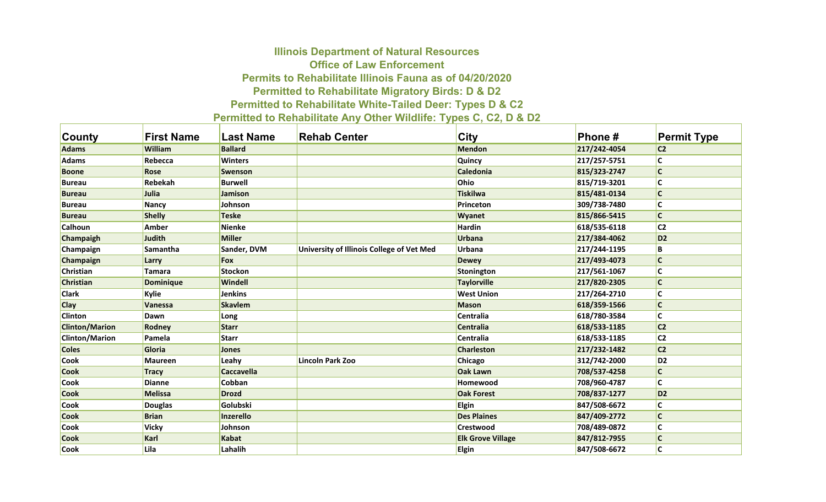## **Illinois Department of Natural Resources Office of Law Enforcement Permits to Rehabilitate Illinois Fauna as of 04/20/2020 Permitted to Rehabilitate Migratory Birds: D & D2 Permitted to Rehabilitate White-Tailed Deer: Types D & C2 Permitted to Rehabilitate Any Other Wildlife: Types C, C2, D & D2**

| County                | <b>First Name</b> | <b>Last Name</b>  | <b>Rehab Center</b>                       | City                     | Phone#       | <b>Permit Type</b> |
|-----------------------|-------------------|-------------------|-------------------------------------------|--------------------------|--------------|--------------------|
| <b>Adams</b>          | <b>William</b>    | <b>Ballard</b>    |                                           | <b>Mendon</b>            | 217/242-4054 | C <sub>2</sub>     |
| <b>Adams</b>          | Rebecca           | <b>Winters</b>    |                                           | <b>Quincy</b>            | 217/257-5751 | C                  |
| <b>Boone</b>          | <b>Rose</b>       | <b>Swenson</b>    |                                           | <b>Caledonia</b>         | 815/323-2747 | $\mathsf{C}$       |
| <b>Bureau</b>         | Rebekah           | <b>Burwell</b>    |                                           | Ohio                     | 815/719-3201 | $\mathsf{C}$       |
| <b>Bureau</b>         | <b>Julia</b>      | Jamison           |                                           | <b>Tiskilwa</b>          | 815/481-0134 | $\mathsf{C}$       |
| <b>Bureau</b>         | <b>Nancy</b>      | Johnson           |                                           | Princeton                | 309/738-7480 | C                  |
| <b>Bureau</b>         | <b>Shelly</b>     | <b>Teske</b>      |                                           | <b>Wyanet</b>            | 815/866-5415 | C                  |
| <b>Calhoun</b>        | Amber             | <b>Nienke</b>     |                                           | Hardin                   | 618/535-6118 | C <sub>2</sub>     |
| Champaigh             | <b>Judith</b>     | <b>Miller</b>     |                                           | <b>Urbana</b>            | 217/384-4062 | D <sub>2</sub>     |
| Champaign             | Samantha          | Sander, DVM       | University of Illinois College of Vet Med | <b>Urbana</b>            | 217/244-1195 | В                  |
| Champaign             | Larry             | <b>Fox</b>        |                                           | <b>Dewey</b>             | 217/493-4073 | $\mathsf{C}$       |
| Christian             | <b>Tamara</b>     | <b>Stockon</b>    |                                           | <b>Stonington</b>        | 217/561-1067 | C                  |
| <b>Christian</b>      | <b>Dominique</b>  | <b>Windell</b>    |                                           | <b>Taylorville</b>       | 217/820-2305 | $\mathsf{C}$       |
| <b>Clark</b>          | Kylie             | <b>Jenkins</b>    |                                           | <b>West Union</b>        | 217/264-2710 | C                  |
| <b>Clay</b>           | <b>Vanessa</b>    | <b>Skavlem</b>    |                                           | <b>Mason</b>             | 618/359-1566 | $\mathsf{C}$       |
| <b>Clinton</b>        | Dawn              | Long              |                                           | Centralia                | 618/780-3584 | C                  |
| <b>Clinton/Marion</b> | <b>Rodney</b>     | <b>Starr</b>      |                                           | <b>Centralia</b>         | 618/533-1185 | C <sub>2</sub>     |
| <b>Clinton/Marion</b> | Pamela            | <b>Starr</b>      |                                           | <b>Centralia</b>         | 618/533-1185 | C <sub>2</sub>     |
| <b>Coles</b>          | Gloria            | <b>Jones</b>      |                                           | <b>Charleston</b>        | 217/232-1482 | C <sub>2</sub>     |
| <b>Cook</b>           | <b>Maureen</b>    | Leahy             | <b>Lincoln Park Zoo</b>                   | <b>Chicago</b>           | 312/742-2000 | D <sub>2</sub>     |
| <b>Cook</b>           | <b>Tracy</b>      | <b>Caccavella</b> |                                           | <b>Oak Lawn</b>          | 708/537-4258 | C                  |
| <b>Cook</b>           | <b>Dianne</b>     | Cobban            |                                           | Homewood                 | 708/960-4787 | C                  |
| <b>Cook</b>           | <b>Melissa</b>    | <b>Drozd</b>      |                                           | <b>Oak Forest</b>        | 708/837-1277 | D <sub>2</sub>     |
| <b>Cook</b>           | <b>Douglas</b>    | Golubski          |                                           | <b>Elgin</b>             | 847/508-6672 | С                  |
| <b>Cook</b>           | <b>Brian</b>      | <b>Inzerello</b>  |                                           | <b>Des Plaines</b>       | 847/409-2772 | $\mathsf{C}$       |
| <b>Cook</b>           | Vicky             | Johnson           |                                           | <b>Crestwood</b>         | 708/489-0872 | C                  |
| <b>Cook</b>           | Karl              | <b>Kabat</b>      |                                           | <b>Elk Grove Village</b> | 847/812-7955 | C                  |
| <b>Cook</b>           | Lila              | Lahalih           |                                           | Elgin                    | 847/508-6672 | C                  |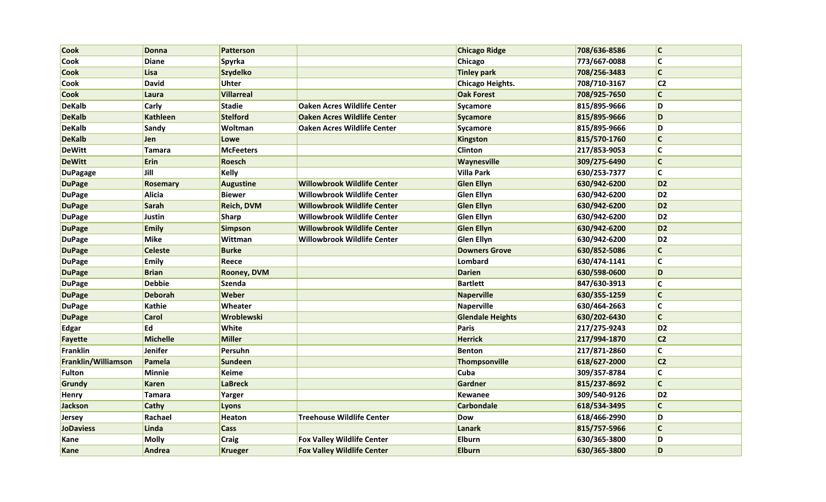| <b>Cook</b>         | <b>Donna</b>    | <b>Patterson</b>   |                                    | <b>Chicago Ridge</b>    | 708/636-8586 | c                       |
|---------------------|-----------------|--------------------|------------------------------------|-------------------------|--------------|-------------------------|
| <b>Cook</b>         | <b>Diane</b>    | <b>Spyrka</b>      |                                    | <b>Chicago</b>          | 773/667-0088 | $\overline{\mathsf{c}}$ |
| <b>Cook</b>         | Lisa            | <b>Szydelko</b>    |                                    | <b>Tinley park</b>      | 708/256-3483 | $\overline{\mathsf{c}}$ |
| <b>Cook</b>         | <b>David</b>    | Uhter              |                                    | Chicago Heights.        | 708/710-3167 | C <sub>2</sub>          |
| <b>Cook</b>         | Laura           | <b>Villarreal</b>  |                                    | <b>Oak Forest</b>       | 708/925-7650 | $\mathsf{C}$            |
| <b>DeKalb</b>       | <b>Carly</b>    | <b>Stadie</b>      | Oaken Acres Wildlife Center        | Sycamore                | 815/895-9666 | D                       |
| <b>DeKalb</b>       | <b>Kathleen</b> | <b>Stelford</b>    | <b>Oaken Acres Wildlife Center</b> | Sycamore                | 815/895-9666 | D                       |
| <b>DeKalb</b>       | Sandy           | Woltman            | <b>Oaken Acres Wildlife Center</b> | Sycamore                | 815/895-9666 | D                       |
| <b>DeKalb</b>       | Jen             | Lowe               |                                    | Kingston                | 815/570-1760 | $\overline{\mathsf{c}}$ |
| <b>DeWitt</b>       | Tamara          | <b>McFeeters</b>   |                                    | <b>Clinton</b>          | 217/853-9053 | $\overline{\mathsf{c}}$ |
| <b>DeWitt</b>       | <b>Erin</b>     | Roesch             |                                    | <b>Waynesville</b>      | 309/275-6490 | $\mathsf{C}$            |
| <b>DuPagage</b>     | Jill            | <b>Kelly</b>       |                                    | <b>Villa Park</b>       | 630/253-7377 | $\overline{\mathsf{c}}$ |
| <b>DuPage</b>       | Rosemary        | <b>Augustine</b>   | <b>Willowbrook Wildlife Center</b> | <b>Glen Ellyn</b>       | 630/942-6200 | D <sub>2</sub>          |
| <b>DuPage</b>       | Alicia          | <b>Biewer</b>      | <b>Willowbrook Wildlife Center</b> | <b>Glen Ellyn</b>       | 630/942-6200 | D <sub>2</sub>          |
| <b>DuPage</b>       | Sarah           | Reich, DVM         | Willowbrook Wildlife Center        | <b>Glen Ellyn</b>       | 630/942-6200 | D <sub>2</sub>          |
| <b>DuPage</b>       | Justin          | <b>Sharp</b>       | <b>Willowbrook Wildlife Center</b> | <b>Glen Ellyn</b>       | 630/942-6200 | D <sub>2</sub>          |
| <b>DuPage</b>       | <b>Emily</b>    | <b>Simpson</b>     | <b>Willowbrook Wildlife Center</b> | <b>Glen Ellyn</b>       | 630/942-6200 | D <sub>2</sub>          |
| <b>DuPage</b>       | <b>Mike</b>     | Wittman            | <b>Willowbrook Wildlife Center</b> | <b>Glen Ellyn</b>       | 630/942-6200 | D <sub>2</sub>          |
| <b>DuPage</b>       | <b>Celeste</b>  | <b>Burke</b>       |                                    | <b>Downers Grove</b>    | 630/852-5086 | $\mathsf{C}$            |
| <b>DuPage</b>       | <b>Emily</b>    | Reece              |                                    | <b>Lombard</b>          | 630/474-1141 | $\overline{\mathsf{c}}$ |
| <b>DuPage</b>       | <b>Brian</b>    | <b>Rooney, DVM</b> |                                    | <b>Darien</b>           | 630/598-0600 | D                       |
| <b>DuPage</b>       | <b>Debbie</b>   | <b>Szenda</b>      |                                    | <b>Bartlett</b>         | 847/630-3913 | $\overline{\mathsf{c}}$ |
| <b>DuPage</b>       | <b>Deborah</b>  | <b>Weber</b>       |                                    | <b>Naperville</b>       | 630/355-1259 | $\mathsf{C}$            |
| <b>DuPage</b>       | Kathie          | Wheater            |                                    | Naperville              | 630/464-2663 | $\overline{\mathsf{c}}$ |
| <b>DuPage</b>       | <b>Carol</b>    | Wroblewski         |                                    | <b>Glendale Heights</b> | 630/202-6430 | $\overline{\mathsf{c}}$ |
| Edgar               | Ed              | White              |                                    | Paris                   | 217/275-9243 | D <sub>2</sub>          |
| Fayette             | <b>Michelle</b> | <b>Miller</b>      |                                    | <b>Herrick</b>          | 217/994-1870 | C <sub>2</sub>          |
| Franklin            | Jenifer         | Persuhn            |                                    | <b>Benton</b>           | 217/871-2860 | $\mathsf{C}$            |
| Franklin/Williamson | Pamela          | <b>Sundeen</b>     |                                    | Thompsonville           | 618/627-2000 | C <sub>2</sub>          |
| Fulton              | Minnie          | <b>Keime</b>       |                                    | <b>Cuba</b>             | 309/357-8784 | $\mathsf{C}$            |
| Grundy              | <b>Karen</b>    | <b>LaBreck</b>     |                                    | Gardner                 | 815/237-8692 | $\mathsf{C}$            |
| Henry               | Tamara          | Yarger             |                                    | Kewanee                 | 309/540-9126 | D <sub>2</sub>          |
| Jackson             | <b>Cathy</b>    | Lyons              |                                    | <b>Carbondale</b>       | 618/534-3495 | $\mathsf{C}$            |
| <b>Jersey</b>       | Rachael         | Heaton             | <b>Treehouse Wildlife Center</b>   | Dow                     | 618/466-2990 | D                       |
| <b>JoDaviess</b>    | Linda           | Cass               |                                    | <b>Lanark</b>           | 815/757-5966 | $\mathsf{C}$            |
| Kane                | <b>Molly</b>    | <b>Craig</b>       | <b>Fox Valley Wildlife Center</b>  | <b>Elburn</b>           | 630/365-3800 | D                       |
| Kane                | Andrea          | <b>Krueger</b>     | <b>Fox Valley Wildlife Center</b>  | <b>Elburn</b>           | 630/365-3800 | D                       |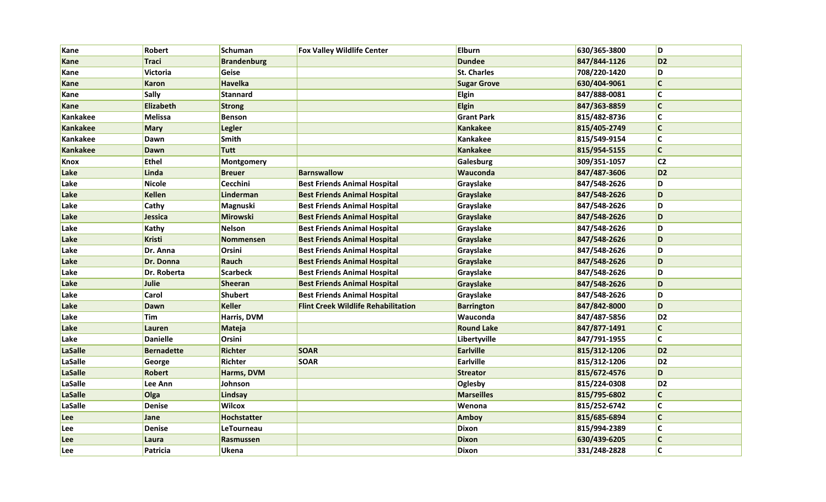| Kane            | <b>Robert</b>     | <b>Schuman</b>     | <b>Fox Valley Wildlife Center</b>          | <b>Elburn</b>      | 630/365-3800 | D                       |
|-----------------|-------------------|--------------------|--------------------------------------------|--------------------|--------------|-------------------------|
| Kane            | <b>Traci</b>      | <b>Brandenburg</b> |                                            | <b>Dundee</b>      | 847/844-1126 | D <sub>2</sub>          |
| Kane            | Victoria          | Geise              |                                            | <b>St. Charles</b> | 708/220-1420 | D                       |
| Kane            | <b>Karon</b>      | <b>Havelka</b>     |                                            | <b>Sugar Grove</b> | 630/404-9061 | $\mathsf{C}$            |
| Kane            | <b>Sally</b>      | <b>Stannard</b>    |                                            | <b>Elgin</b>       | 847/888-0081 | c                       |
| Kane            | Elizabeth         | <b>Strong</b>      |                                            | <b>Elgin</b>       | 847/363-8859 | $\mathsf{C}$            |
| Kankakee        | Melissa           | <b>Benson</b>      |                                            | <b>Grant Park</b>  | 815/482-8736 | $ {\mathsf c}$          |
| Kankakee        | <b>Mary</b>       | <b>Legler</b>      |                                            | <b>Kankakee</b>    | 815/405-2749 | c                       |
| Kankakee        | <b>Dawn</b>       | Smith              |                                            | Kankakee           | 815/549-9154 | c                       |
| <b>Kankakee</b> | <b>Dawn</b>       | <b>Tutt</b>        |                                            | <b>Kankakee</b>    | 815/954-5155 | $\mathsf{C}$            |
| Knox            | <b>Ethel</b>      | Montgomery         |                                            | Galesburg          | 309/351-1057 | C <sub>2</sub>          |
| Lake            | Linda             | <b>Breuer</b>      | <b>Barnswallow</b>                         | Wauconda           | 847/487-3606 | D <sub>2</sub>          |
| Lake            | <b>Nicole</b>     | Cecchini           | <b>Best Friends Animal Hospital</b>        | Grayslake          | 847/548-2626 | D                       |
| Lake            | <b>Kellen</b>     | Linderman          | <b>Best Friends Animal Hospital</b>        | Grayslake          | 847/548-2626 | D                       |
| Lake            | <b>Cathy</b>      | Magnuski           | <b>Best Friends Animal Hospital</b>        | Grayslake          | 847/548-2626 | D                       |
| Lake            | <b>Jessica</b>    | Mirowski           | <b>Best Friends Animal Hospital</b>        | Grayslake          | 847/548-2626 | D                       |
| Lake            | Kathy             | Nelson             | <b>Best Friends Animal Hospital</b>        | Grayslake          | 847/548-2626 | D                       |
| Lake            | Kristi            | <b>Nommensen</b>   | <b>Best Friends Animal Hospital</b>        | Grayslake          | 847/548-2626 | D                       |
| Lake            | Dr. Anna          | Orsini             | <b>Best Friends Animal Hospital</b>        | Grayslake          | 847/548-2626 | D                       |
| Lake            | Dr. Donna         | Rauch              | <b>Best Friends Animal Hospital</b>        | Grayslake          | 847/548-2626 | D                       |
| Lake            | Dr. Roberta       | <b>Scarbeck</b>    | <b>Best Friends Animal Hospital</b>        | Grayslake          | 847/548-2626 | D                       |
| Lake            | Julie             | Sheeran            | <b>Best Friends Animal Hospital</b>        | Grayslake          | 847/548-2626 | D                       |
| Lake            | <b>Carol</b>      | <b>Shubert</b>     | <b>Best Friends Animal Hospital</b>        | Grayslake          | 847/548-2626 | D                       |
| Lake            | <b>Dawn</b>       | Keller             | <b>Flint Creek Wildlife Rehabilitation</b> | <b>Barrington</b>  | 847/842-8000 | D                       |
| Lake            | <b>Tim</b>        | Harris, DVM        |                                            | Wauconda           | 847/487-5856 | D <sub>2</sub>          |
| Lake            | Lauren            | <b>Mateja</b>      |                                            | <b>Round Lake</b>  | 847/877-1491 | $\mathsf{C}$            |
| Lake            | <b>Danielle</b>   | Orsini             |                                            | Libertyville       | 847/791-1955 | $\overline{\mathsf{c}}$ |
| LaSalle         | <b>Bernadette</b> | <b>Richter</b>     | <b>SOAR</b>                                | <b>Earlville</b>   | 815/312-1206 | D <sub>2</sub>          |
| LaSalle         | George            | Richter            | <b>SOAR</b>                                | Earlville          | 815/312-1206 | D <sub>2</sub>          |
| LaSalle         | <b>Robert</b>     | Harms, DVM         |                                            | <b>Streator</b>    | 815/672-4576 | D                       |
| LaSalle         | Lee Ann           | Johnson            |                                            | Oglesby            | 815/224-0308 | D <sub>2</sub>          |
| LaSalle         | Olga              | Lindsay            |                                            | <b>Marseilles</b>  | 815/795-6802 | $\mathsf{C}$            |
| LaSalle         | <b>Denise</b>     | Wilcox             |                                            | Wenona             | 815/252-6742 | $\overline{\mathsf{c}}$ |
| <b>Lee</b>      | Jane              | <b>Hochstatter</b> |                                            | <b>Amboy</b>       | 815/685-6894 | $ {\mathsf c}$          |
| Lee             | <b>Denise</b>     | LeTourneau         |                                            | <b>Dixon</b>       | 815/994-2389 | <b>C</b>                |
| Lee             | Laura             | Rasmussen          |                                            | <b>Dixon</b>       | 630/439-6205 | $\mathsf{C}$            |
| Lee             | Patricia          | Ukena              |                                            | Dixon              | 331/248-2828 | $\overline{\mathsf{c}}$ |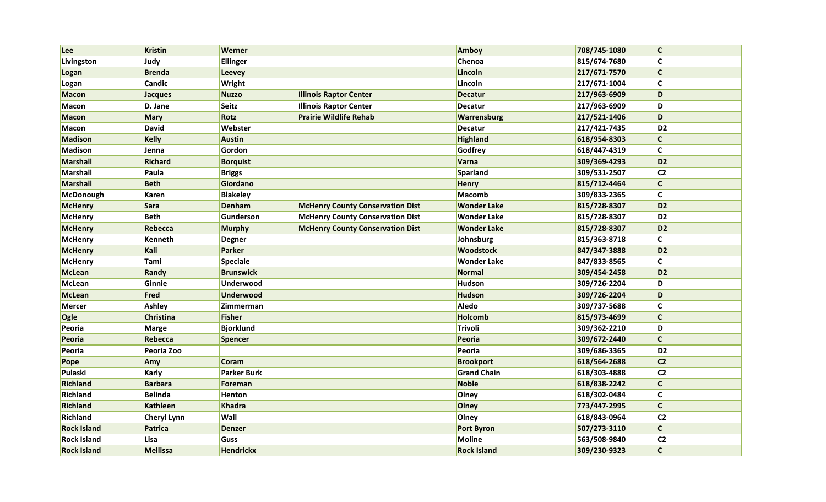| Lee                | <b>Kristin</b>     | Werner             |                                         | Amboy              | 708/745-1080 | $\overline{\mathsf{c}}$ |
|--------------------|--------------------|--------------------|-----------------------------------------|--------------------|--------------|-------------------------|
| Livingston         | Judy               | Ellinger           |                                         | Chenoa             | 815/674-7680 | C                       |
| Logan              | <b>Brenda</b>      | <b>Leevey</b>      |                                         | Lincoln            | 217/671-7570 | $\mathsf{C}$            |
| Logan              | Candic             | Wright             |                                         | Lincoln            | 217/671-1004 | $\mathsf{C}$            |
| <b>Macon</b>       | Jacques            | <b>Nuzzo</b>       | <b>Illinois Raptor Center</b>           | <b>Decatur</b>     | 217/963-6909 | D                       |
| <b>Macon</b>       | D. Jane            | <b>Seitz</b>       | <b>Illinois Raptor Center</b>           | Decatur            | 217/963-6909 | D                       |
| <b>Macon</b>       | <b>Mary</b>        | Rotz               | <b>Prairie Wildlife Rehab</b>           | Warrensburg        | 217/521-1406 | D                       |
| <b>Macon</b>       | <b>David</b>       | Webster            |                                         | <b>Decatur</b>     | 217/421-7435 | D <sub>2</sub>          |
| <b>Madison</b>     | <b>Kelly</b>       | <b>Austin</b>      |                                         | <b>Highland</b>    | 618/954-8303 | $\mathsf{C}$            |
| <b>Madison</b>     | Jenna              | Gordon             |                                         | Godfrey            | 618/447-4319 | C                       |
| <b>Marshall</b>    | Richard            | <b>Borquist</b>    |                                         | Varna              | 309/369-4293 | D <sub>2</sub>          |
| <b>Marshall</b>    | Paula              | <b>Briggs</b>      |                                         | Sparland           | 309/531-2507 | C <sub>2</sub>          |
| <b>Marshall</b>    | <b>Beth</b>        | Giordano           |                                         | Henry              | 815/712-4464 | C                       |
| McDonough          | Karen              | <b>Blakeley</b>    |                                         | Macomb             | 309/833-2365 | $\mathsf{C}$            |
| <b>McHenry</b>     | <b>Sara</b>        | <b>Denham</b>      | <b>McHenry County Conservation Dist</b> | <b>Wonder Lake</b> | 815/728-8307 | D <sub>2</sub>          |
| <b>McHenry</b>     | <b>Beth</b>        | Gunderson          | <b>McHenry County Conservation Dist</b> | <b>Wonder Lake</b> | 815/728-8307 | D <sub>2</sub>          |
| <b>McHenry</b>     | <b>Rebecca</b>     | <b>Murphy</b>      | <b>McHenry County Conservation Dist</b> | <b>Wonder Lake</b> | 815/728-8307 | D <sub>2</sub>          |
| <b>McHenry</b>     | Kenneth            | <b>Degner</b>      |                                         | Johnsburg          | 815/363-8718 | C                       |
| <b>McHenry</b>     | Kali               | Parker             |                                         | <b>Woodstock</b>   | 847/347-3888 | D <sub>2</sub>          |
| <b>McHenry</b>     | Tami               | Speciale           |                                         | <b>Wonder Lake</b> | 847/833-8565 | C                       |
| <b>McLean</b>      | Randy              | <b>Brunswick</b>   |                                         | Normal             | 309/454-2458 | D <sub>2</sub>          |
| McLean             | Ginnie             | Underwood          |                                         | Hudson             | 309/726-2204 | D                       |
| <b>McLean</b>      | <b>Fred</b>        | <b>Underwood</b>   |                                         | Hudson             | 309/726-2204 | D                       |
| Mercer             | Ashley             | Zimmerman          |                                         | Aledo              | 309/737-5688 | C                       |
| Ogle               | <b>Christina</b>   | <b>Fisher</b>      |                                         | Holcomb            | 815/973-4699 | $\mathsf{C}$            |
| Peoria             | <b>Marge</b>       | <b>Bjorklund</b>   |                                         | Trivoli            | 309/362-2210 | D                       |
| Peoria             | Rebecca            | <b>Spencer</b>     |                                         | Peoria             | 309/672-2440 | $\mathsf{C}$            |
| Peoria             | Peoria Zoo         |                    |                                         | Peoria             | 309/686-3365 | D <sub>2</sub>          |
| Pope               | Amy                | Coram              |                                         | <b>Brookport</b>   | 618/564-2688 | C <sub>2</sub>          |
| Pulaski            | <b>Karly</b>       | <b>Parker Burk</b> |                                         | <b>Grand Chain</b> | 618/303-4888 | C <sub>2</sub>          |
| Richland           | <b>Barbara</b>     | Foreman            |                                         | Noble              | 618/838-2242 | C                       |
| Richland           | <b>Belinda</b>     | <b>Henton</b>      |                                         | Olney              | 618/302-0484 | C                       |
| Richland           | <b>Kathleen</b>    | Khadra             |                                         | Olney              | 773/447-2995 | $\mathsf{C}$            |
| Richland           | <b>Cheryl Lynn</b> | Wall               |                                         | Olney              | 618/843-0964 | C <sub>2</sub>          |
| <b>Rock Island</b> | <b>Patrica</b>     | <b>Denzer</b>      |                                         | <b>Port Byron</b>  | 507/273-3110 | $\mathbf c$             |
| <b>Rock Island</b> | Lisa               | <b>Guss</b>        |                                         | Moline             | 563/508-9840 | C <sub>2</sub>          |
| <b>Rock Island</b> | <b>Mellissa</b>    | <b>Hendrickx</b>   |                                         | <b>Rock Island</b> | 309/230-9323 | $\mathsf{C}$            |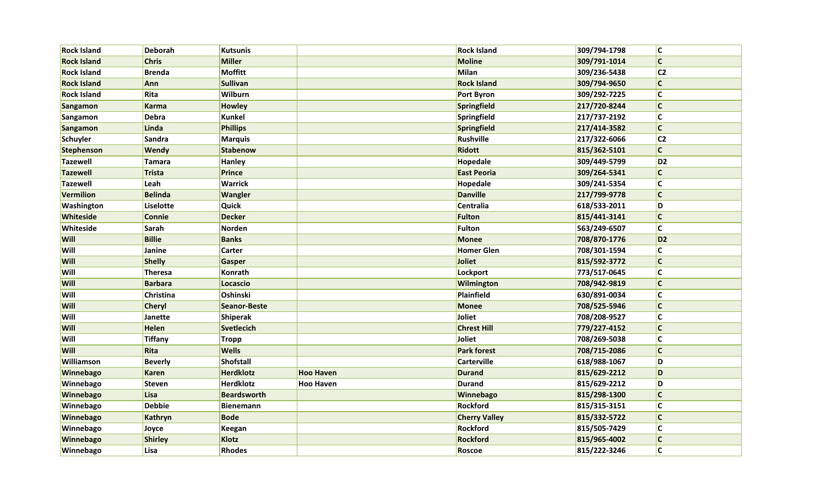| <b>Rock Island</b> | <b>Deborah</b> | <b>Kutsunis</b>     |                  | <b>Rock Island</b>   | 309/794-1798 | <b>C</b>                |
|--------------------|----------------|---------------------|------------------|----------------------|--------------|-------------------------|
| <b>Rock Island</b> | <b>Chris</b>   | <b>Miller</b>       |                  | <b>Moline</b>        | 309/791-1014 | $\mathsf{C}$            |
| <b>Rock Island</b> | <b>Brenda</b>  | <b>Moffitt</b>      |                  | Milan                | 309/236-5438 | C <sub>2</sub>          |
| <b>Rock Island</b> | Ann            | <b>Sullivan</b>     |                  | <b>Rock Island</b>   | 309/794-9650 | $\mathsf{C}$            |
| <b>Rock Island</b> | Rita           | Wilburn             |                  | <b>Port Byron</b>    | 309/292-7225 | $\mathsf{C}$            |
| <b>Sangamon</b>    | Karma          | <b>Howley</b>       |                  | Springfield          | 217/720-8244 | $\mathsf{C}$            |
| <b>Sangamon</b>    | <b>Debra</b>   | <b>Kunkel</b>       |                  | Springfield          | 217/737-2192 | $\overline{\mathsf{c}}$ |
| <b>Sangamon</b>    | Linda          | <b>Phillips</b>     |                  | Springfield          | 217/414-3582 | $\mathsf{C}$            |
| Schuyler           | Sandra         | <b>Marquis</b>      |                  | Rushville            | 217/322-6066 | c2                      |
| Stephenson         | Wendy          | <b>Stabenow</b>     |                  | <b>Ridott</b>        | 815/362-5101 | $\mathsf{C}$            |
| <b>Tazewell</b>    | Tamara         | <b>Hanley</b>       |                  | Hopedale             | 309/449-5799 | D <sub>2</sub>          |
| <b>Tazewell</b>    | Trista         | <b>Prince</b>       |                  | <b>East Peoria</b>   | 309/264-5341 | C                       |
| <b>Tazewell</b>    | Leah           | <b>Warrick</b>      |                  | <b>Hopedale</b>      | 309/241-5354 | $\mathsf{C}$            |
| <b>Vermilion</b>   | <b>Belinda</b> | <b>Wangler</b>      |                  | <b>Danville</b>      | 217/799-9778 | $\mathsf{C}$            |
| Washington         | Liselotte      | <b>Quick</b>        |                  | Centralia            | 618/533-2011 | D                       |
| Whiteside          | <b>Connie</b>  | <b>Decker</b>       |                  | <b>Fulton</b>        | 815/441-3141 | $\mathsf{C}$            |
| Whiteside          | Sarah          | Norden              |                  | Fulton               | 563/249-6507 | $\overline{\mathsf{c}}$ |
| Will               | <b>Billie</b>  | <b>Banks</b>        |                  | <b>Monee</b>         | 708/870-1776 | D <sub>2</sub>          |
| Will               | Janine         | <b>Carter</b>       |                  | <b>Homer Glen</b>    | 708/301-1594 | $\overline{\mathsf{C}}$ |
| Will               | <b>Shelly</b>  | <b>Gasper</b>       |                  | Joliet               | 815/592-3772 | $\mathsf{C}$            |
| Will               | <b>Theresa</b> | <b>Konrath</b>      |                  | Lockport             | 773/517-0645 | $\overline{\mathsf{c}}$ |
| Will               | <b>Barbara</b> | Locascio            |                  | Wilmington           | 708/942-9819 | $\overline{\mathsf{c}}$ |
| Will               | Christina      | Oshinski            |                  | Plainfield           | 630/891-0034 | $\overline{\mathsf{c}}$ |
| Will               | <b>Cheryl</b>  | <b>Seanor-Beste</b> |                  | <b>Monee</b>         | 708/525-5946 | $\mathsf{C}$            |
| Will               | <b>Janette</b> | Shiperak            |                  | Joliet               | 708/208-9527 | $\overline{c}$          |
| Will               | <b>Helen</b>   | <b>Svetlecich</b>   |                  | <b>Chrest Hill</b>   | 779/227-4152 | $\mathsf{C}$            |
| Will               | Tiffany        | <b>Tropp</b>        |                  | Joliet               | 708/269-5038 | $\mathsf{C}$            |
| Will               | Rita           | <b>Wells</b>        |                  | <b>Park forest</b>   | 708/715-2086 | $\mathsf{C}$            |
| Williamson         | <b>Beverly</b> | <b>Shofstall</b>    |                  | <b>Carterville</b>   | 618/988-1067 | D                       |
| Winnebago          | <b>Karen</b>   | <b>Herdklotz</b>    | <b>Hoo Haven</b> | <b>Durand</b>        | 815/629-2212 | D                       |
| Winnebago          | Steven         | <b>Herdklotz</b>    | <b>Hoo Haven</b> | <b>Durand</b>        | 815/629-2212 | D                       |
| Winnebago          | Lisa           | <b>Beardsworth</b>  |                  | Winnebago            | 815/298-1300 | $\mathsf{C}$            |
| Winnebago          | <b>Debbie</b>  | <b>Bienemann</b>    |                  | Rockford             | 815/315-3151 | $\overline{\mathsf{C}}$ |
| Winnebago          | Kathryn        | <b>Bode</b>         |                  | <b>Cherry Valley</b> | 815/332-5722 | $\mathsf{C}$            |
| Winnebago          | Joyce          | <b>Keegan</b>       |                  | Rockford             | 815/505-7429 | $\overline{\mathsf{c}}$ |
| Winnebago          | <b>Shirley</b> | Klotz               |                  | <b>Rockford</b>      | 815/965-4002 | $\mathsf{C}$            |
| Winnebago          | Lisa           | <b>Rhodes</b>       |                  | Roscoe               | 815/222-3246 | $\overline{\mathsf{c}}$ |